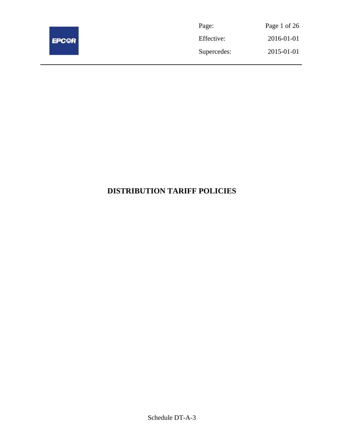

| Page:       | Page 1 of 26 |
|-------------|--------------|
| Effective:  | 2016-01-01   |
| Supercedes: | 2015-01-01   |

# **DISTRIBUTION TARIFF POLICIES**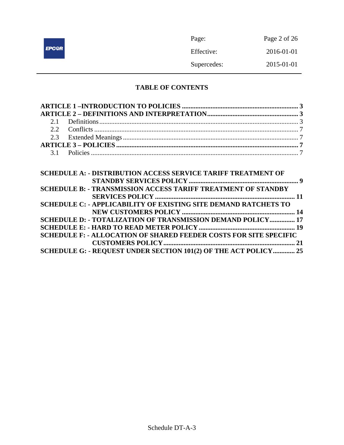|              | Page:       | Page 2 of 26 |
|--------------|-------------|--------------|
| <b>EPC@R</b> | Effective:  | 2016-01-01   |
|              | Supercedes: | 2015-01-01   |

## **TABLE OF CONTENTS**

| <b>SCHEDULE A: - DISTRIBUTION ACCESS SERVICE TARIFF TREATMENT OF</b>     |  |
|--------------------------------------------------------------------------|--|
|                                                                          |  |
| <b>SCHEDULE B: - TRANSMISSION ACCESS TARIFF TREATMENT OF STANDBY</b>     |  |
|                                                                          |  |
| <b>SCHEDULE C: - APPLICABILITY OF EXISTING SITE DEMAND RATCHETS TO</b>   |  |
|                                                                          |  |
| SCHEDULE D: - TOTALIZATION OF TRANSMISSION DEMAND POLICY 17              |  |
|                                                                          |  |
| <b>SCHEDULE F: - ALLOCATION OF SHARED FEEDER COSTS FOR SITE SPECIFIC</b> |  |
|                                                                          |  |
| SCHEDULE G: - REQUEST UNDER SECTION 101(2) OF THE ACT POLICY 25          |  |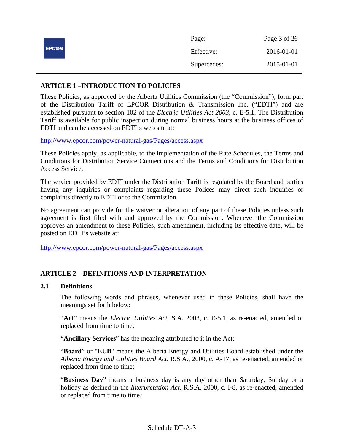|              | Page:       | Page 3 of 26 |
|--------------|-------------|--------------|
| <b>EPC@R</b> | Effective:  | 2016-01-01   |
|              | Supercedes: | 2015-01-01   |

## **ARTICLE 1 –INTRODUCTION TO POLICIES**

These Policies, as approved by the Alberta Utilities Commission (the "Commission"), form part of the Distribution Tariff of EPCOR Distribution & Transmission Inc. ("EDTI") and are established pursuant to section 102 of the *Electric Utilities Act 2003*, c. E-5.1. The Distribution Tariff is available for public inspection during normal business hours at the business offices of EDTI and can be accessed on EDTI's web site at:

http://www.epcor.com/power-natural-gas/Pages/access.aspx

These Policies apply, as applicable, to the implementation of the Rate Schedules, the Terms and Conditions for Distribution Service Connections and the Terms and Conditions for Distribution Access Service.

The service provided by EDTI under the Distribution Tariff is regulated by the Board and parties having any inquiries or complaints regarding these Polices may direct such inquiries or complaints directly to EDTI or to the Commission.

No agreement can provide for the waiver or alteration of any part of these Policies unless such agreement is first filed with and approved by the Commission. Whenever the Commission approves an amendment to these Policies, such amendment, including its effective date, will be posted on EDTI's website at:

http://www.epcor.com/power-natural-gas/Pages/access.aspx

## **ARTICLE 2 – DEFINITIONS AND INTERPRETATION**

## **2.1 Definitions**

The following words and phrases, whenever used in these Policies, shall have the meanings set forth below:

"**Act**" means the *Electric Utilities Act*, S.A. 2003, c. E-5.1, as re-enacted, amended or replaced from time to time;

"**Ancillary Services**" has the meaning attributed to it in the Act;

"**Board**" or "**EUB**" means the Alberta Energy and Utilities Board established under the *Alberta Energy and Utilities Board Act*, R.S.A., 2000, c. A-17, as re-enacted, amended or replaced from time to time;

"**Business Day**" means a business day is any day other than Saturday, Sunday or a holiday as defined in the *Interpretation Act*, R.S.A. 2000, c. I-8, as re-enacted, amended or replaced from time to time*;*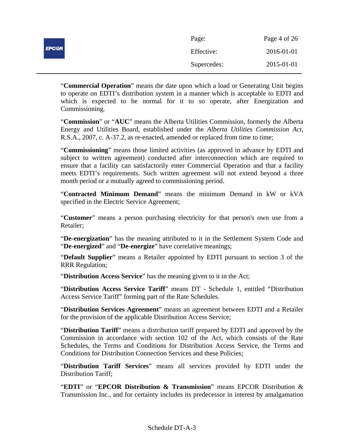|              | Page:       | Page 4 of 26 |
|--------------|-------------|--------------|
| <b>EPC@R</b> | Effective:  | 2016-01-01   |
|              | Supercedes: | 2015-01-01   |

"**Commercial Operation**" means the date upon which a load or Generating Unit begins to operate on EDTI's distribution system in a manner which is acceptable to EDTI and which is expected to be normal for it to so operate, after Energization and Commissioning.

"**Commission**" or "**AUC**" means the Alberta Utilities Commission, formerly the Alberta Energy and Utilities Board, established under the *Alberta Utilities Commission Act*, R.S.A., 2007, c. A-37.2, as re-enacted, amended or replaced from time to time;

"**Commissioning**" means those limited activities (as approved in advance by EDTI and subject to written agreement) conducted after interconnection which are required to ensure that a facility can satisfactorily enter Commercial Operation and that a facility meets EDTI's requirements. Such written agreement will not extend beyond a three month period or a mutually agreed to commissioning period.

"**Contracted Minimum Demand**" means the minimum Demand in kW or kVA specified in the Electric Service Agreement;

"**Customer**" means a person purchasing electricity for that person's own use from a Retailer;

"**De-energization**" has the meaning attributed to it in the Settlement System Code and "**De-energized**" and "**De-energize**" have correlative meanings;

"**Default Supplier**" means a Retailer appointed by EDTI pursuant to section 3 of the RRR Regulation;

"**Distribution Access Service**" has the meaning given to it in the Act;

"**Distribution Access Service Tariff**" means DT - Schedule 1, entitled "Distribution Access Service Tariff" forming part of the Rate Schedules.

"**Distribution Services Agreement**" means an agreement between EDTI and a Retailer for the provision of the applicable Distribution Access Service;

"**Distribution Tariff**" means a distribution tariff prepared by EDTI and approved by the Commission in accordance with section 102 of the Act, which consists of the Rate Schedules, the Terms and Conditions for Distribution Access Service, the Terms and Conditions for Distribution Connection Services and these Policies;

"**Distribution Tariff Services**" means all services provided by EDTI under the Distribution Tariff;

"**EDTI**" or "**EPCOR Distribution & Transmission**" means EPCOR Distribution & Transmission Inc., and for certainty includes its predecessor in interest by amalgamation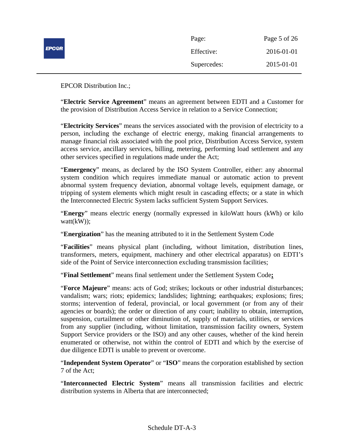|              | Page:       | Page 5 of 26 |
|--------------|-------------|--------------|
| <b>EPC@R</b> | Effective:  | 2016-01-01   |
|              | Supercedes: | 2015-01-01   |

EPCOR Distribution Inc.;

"**Electric Service Agreement**" means an agreement between EDTI and a Customer for the provision of Distribution Access Service in relation to a Service Connection;

"**Electricity Services**" means the services associated with the provision of electricity to a person, including the exchange of electric energy, making financial arrangements to manage financial risk associated with the pool price, Distribution Access Service, system access service, ancillary services, billing, metering, performing load settlement and any other services specified in regulations made under the Act;

"**Emergency**" means, as declared by the ISO System Controller, either: any abnormal system condition which requires immediate manual or automatic action to prevent abnormal system frequency deviation, abnormal voltage levels, equipment damage, or tripping of system elements which might result in cascading effects; or a state in which the Interconnected Electric System lacks sufficient System Support Services.

"**Energy**" means electric energy (normally expressed in kiloWatt hours (kWh) or kilo watt(kW));

"**Energization**" has the meaning attributed to it in the Settlement System Code

"**Facilities**" means physical plant (including, without limitation, distribution lines, transformers, meters, equipment, machinery and other electrical apparatus) on EDTI's side of the Point of Service interconnection excluding transmission facilities;

"**Final Settlement**" means final settlement under the Settlement System Code**;**

"**Force Majeure**" means: acts of God; strikes; lockouts or other industrial disturbances; vandalism; wars; riots; epidemics; landslides; lightning; earthquakes; explosions; fires; storms; intervention of federal, provincial, or local government (or from any of their agencies or boards); the order or direction of any court; inability to obtain, interruption, suspension, curtailment or other diminution of, supply of materials, utilities, or services from any supplier (including, without limitation, transmission facility owners, System Support Service providers or the ISO) and any other causes, whether of the kind herein enumerated or otherwise, not within the control of EDTI and which by the exercise of due diligence EDTI is unable to prevent or overcome.

"**Independent System Operator**" or "**ISO**" means the corporation established by section 7 of the Act;

"**Interconnected Electric System**" means all transmission facilities and electric distribution systems in Alberta that are interconnected;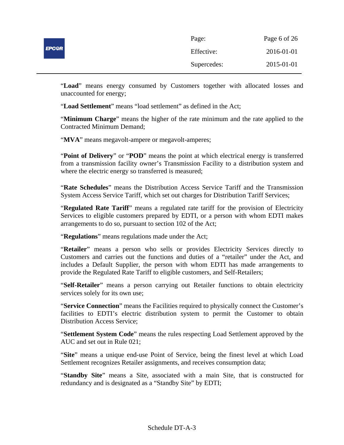|              | Page:       | Page 6 of 26 |
|--------------|-------------|--------------|
| <b>EPC@R</b> | Effective:  | 2016-01-01   |
|              | Supercedes: | 2015-01-01   |

"**Load**" means energy consumed by Customers together with allocated losses and unaccounted for energy;

"**Load Settlement**" means "load settlement" as defined in the Act;

"**Minimum Charge**" means the higher of the rate minimum and the rate applied to the Contracted Minimum Demand;

"**MVA**" means megavolt-ampere or megavolt-amperes;

"**Point of Delivery**" or "**POD**" means the point at which electrical energy is transferred from a transmission facility owner's Transmission Facility to a distribution system and where the electric energy so transferred is measured;

"**Rate Schedules**" means the Distribution Access Service Tariff and the Transmission System Access Service Tariff, which set out charges for Distribution Tariff Services;

"**Regulated Rate Tariff**" means a regulated rate tariff for the provision of Electricity Services to eligible customers prepared by EDTI, or a person with whom EDTI makes arrangements to do so, pursuant to section 102 of the Act;

"**Regulations**" means regulations made under the Act;

"**Retailer**" means a person who sells or provides Electricity Services directly to Customers and carries out the functions and duties of a "retailer" under the Act, and includes a Default Supplier, the person with whom EDTI has made arrangements to provide the Regulated Rate Tariff to eligible customers, and Self-Retailers;

"**Self-Retailer**" means a person carrying out Retailer functions to obtain electricity services solely for its own use;

"**Service Connection**" means the Facilities required to physically connect the Customer's facilities to EDTI's electric distribution system to permit the Customer to obtain Distribution Access Service;

"**Settlement System Code**" means the rules respecting Load Settlement approved by the AUC and set out in Rule 021;

"**Site**" means a unique end-use Point of Service, being the finest level at which Load Settlement recognizes Retailer assignments, and receives consumption data;

"**Standby Site**" means a Site, associated with a main Site, that is constructed for redundancy and is designated as a "Standby Site" by EDTI;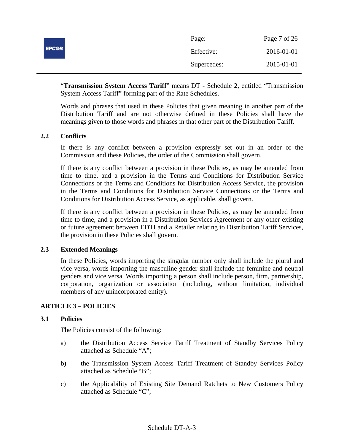|              | Page:       | Page 7 of 26 |
|--------------|-------------|--------------|
| <b>EPC@R</b> | Effective:  | 2016-01-01   |
|              | Supercedes: | 2015-01-01   |

"**Transmission System Access Tariff**" means DT - Schedule 2, entitled "Transmission System Access Tariff" forming part of the Rate Schedules.

Words and phrases that used in these Policies that given meaning in another part of the Distribution Tariff and are not otherwise defined in these Policies shall have the meanings given to those words and phrases in that other part of the Distribution Tariff.

## **2.2 Conflicts**

If there is any conflict between a provision expressly set out in an order of the Commission and these Policies, the order of the Commission shall govern.

If there is any conflict between a provision in these Policies, as may be amended from time to time, and a provision in the Terms and Conditions for Distribution Service Connections or the Terms and Conditions for Distribution Access Service, the provision in the Terms and Conditions for Distribution Service Connections or the Terms and Conditions for Distribution Access Service, as applicable, shall govern.

If there is any conflict between a provision in these Policies, as may be amended from time to time, and a provision in a Distribution Services Agreement or any other existing or future agreement between EDTI and a Retailer relating to Distribution Tariff Services, the provision in these Policies shall govern.

## **2.3 Extended Meanings**

In these Policies, words importing the singular number only shall include the plural and vice versa, words importing the masculine gender shall include the feminine and neutral genders and vice versa. Words importing a person shall include person, firm, partnership, corporation, organization or association (including, without limitation, individual members of any unincorporated entity).

## **ARTICLE 3 – POLICIES**

## **3.1 Policies**

The Policies consist of the following:

- a) the Distribution Access Service Tariff Treatment of Standby Services Policy attached as Schedule "A";
- b) the Transmission System Access Tariff Treatment of Standby Services Policy attached as Schedule "B";
- c) the Applicability of Existing Site Demand Ratchets to New Customers Policy attached as Schedule "C";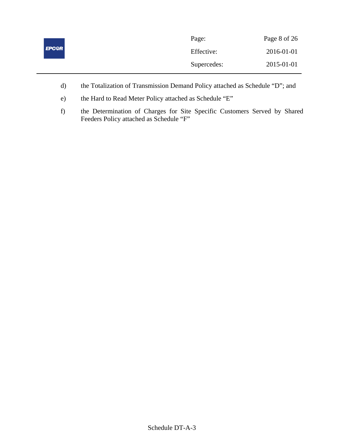|              | Page:       | Page 8 of 26 |
|--------------|-------------|--------------|
| <b>EPCOR</b> | Effective:  | 2016-01-01   |
|              | Supercedes: | 2015-01-01   |

- d) the Totalization of Transmission Demand Policy attached as Schedule "D"; and
- e) the Hard to Read Meter Policy attached as Schedule "E"
- f) the Determination of Charges for Site Specific Customers Served by Shared Feeders Policy attached as Schedule "F"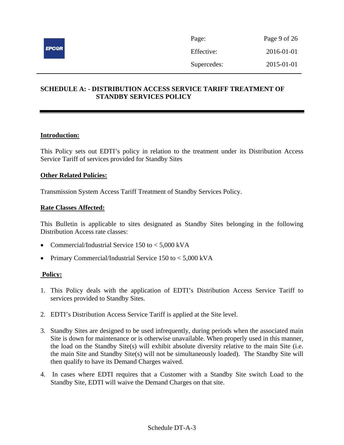

## **SCHEDULE A: - DISTRIBUTION ACCESS SERVICE TARIFF TREATMENT OF STANDBY SERVICES POLICY**

## **Introduction:**

This Policy sets out EDTI's policy in relation to the treatment under its Distribution Access Service Tariff of services provided for Standby Sites

#### **Other Related Policies:**

Transmission System Access Tariff Treatment of Standby Services Policy.

#### **Rate Classes Affected:**

This Bulletin is applicable to sites designated as Standby Sites belonging in the following Distribution Access rate classes:

- Commercial/Industrial Service 150 to < 5,000 kVA
- Primary Commercial/Industrial Service 150 to < 5,000 kVA

- 1. This Policy deals with the application of EDTI's Distribution Access Service Tariff to services provided to Standby Sites.
- 2. EDTI's Distribution Access Service Tariff is applied at the Site level.
- 3. Standby Sites are designed to be used infrequently, during periods when the associated main Site is down for maintenance or is otherwise unavailable. When properly used in this manner, the load on the Standby Site(s) will exhibit absolute diversity relative to the main Site (i.e. the main Site and Standby Site(s) will not be simultaneously loaded). The Standby Site will then qualify to have its Demand Charges waived.
- 4. In cases where EDTI requires that a Customer with a Standby Site switch Load to the Standby Site, EDTI will waive the Demand Charges on that site.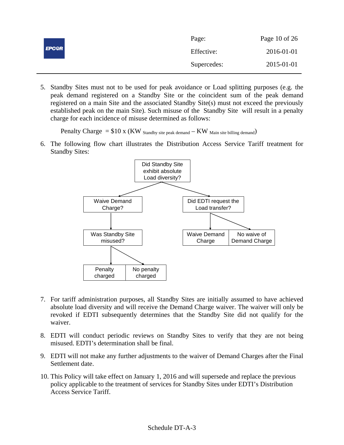|              | Page:       | Page 10 of 26 |
|--------------|-------------|---------------|
| <b>EPC@R</b> | Effective:  | 2016-01-01    |
|              | Supercedes: | 2015-01-01    |

5. Standby Sites must not to be used for peak avoidance or Load splitting purposes (e.g. the peak demand registered on a Standby Site or the coincident sum of the peak demand registered on a main Site and the associated Standby Site(s) must not exceed the previously established peak on the main Site). Such misuse of the Standby Site will result in a penalty charge for each incidence of misuse determined as follows:

Penalty Charge  $= $10 \times (KW)$  Standby site peak demand  $-KW$  Main site billing demand)

6. The following flow chart illustrates the Distribution Access Service Tariff treatment for Standby Sites:



- 7. For tariff administration purposes, all Standby Sites are initially assumed to have achieved absolute load diversity and will receive the Demand Charge waiver. The waiver will only be revoked if EDTI subsequently determines that the Standby Site did not qualify for the waiver.
- 8. EDTI will conduct periodic reviews on Standby Sites to verify that they are not being misused. EDTI's determination shall be final.
- 9. EDTI will not make any further adjustments to the waiver of Demand Charges after the Final Settlement date.
- 10. This Policy will take effect on January 1, 2016 and will supersede and replace the previous policy applicable to the treatment of services for Standby Sites under EDTI's Distribution Access Service Tariff.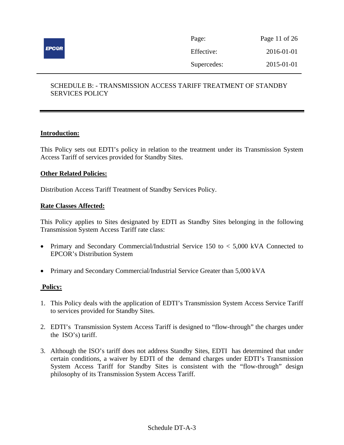

| Page:       | Page 11 of 26 |
|-------------|---------------|
| Effective:  | 2016-01-01    |
| Supercedes: | 2015-01-01    |

## SCHEDULE B: - TRANSMISSION ACCESS TARIFF TREATMENT OF STANDBY SERVICES POLICY

## **Introduction:**

This Policy sets out EDTI's policy in relation to the treatment under its Transmission System Access Tariff of services provided for Standby Sites.

## **Other Related Policies:**

Distribution Access Tariff Treatment of Standby Services Policy.

## **Rate Classes Affected:**

This Policy applies to Sites designated by EDTI as Standby Sites belonging in the following Transmission System Access Tariff rate class:

- Primary and Secondary Commercial/Industrial Service 150 to < 5,000 kVA Connected to EPCOR's Distribution System
- Primary and Secondary Commercial/Industrial Service Greater than 5,000 kVA

- 1. This Policy deals with the application of EDTI's Transmission System Access Service Tariff to services provided for Standby Sites.
- 2. EDTI's Transmission System Access Tariff is designed to "flow-through" the charges under the ISO's) tariff.
- 3. Although the ISO's tariff does not address Standby Sites, EDTI has determined that under certain conditions, a waiver by EDTI of the demand charges under EDTI's Transmission System Access Tariff for Standby Sites is consistent with the "flow-through" design philosophy of its Transmission System Access Tariff.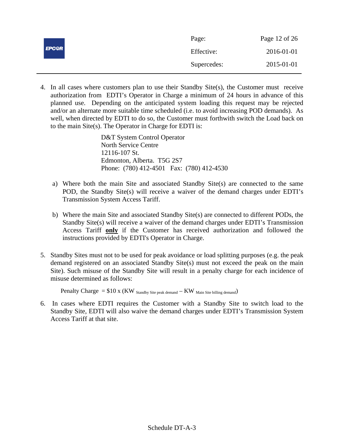|              | Page:       | Page 12 of 26 |
|--------------|-------------|---------------|
| <b>EPC@R</b> | Effective:  | 2016-01-01    |
|              | Supercedes: | 2015-01-01    |

4. In all cases where customers plan to use their Standby Site(s), the Customer must receive authorization from EDTI's Operator in Charge a minimum of 24 hours in advance of this planned use. Depending on the anticipated system loading this request may be rejected and/or an alternate more suitable time scheduled (i.e. to avoid increasing POD demands). As well, when directed by EDTI to do so, the Customer must forthwith switch the Load back on to the main Site(s). The Operator in Charge for EDTI is:

> D&T System Control Operator North Service Centre 12116-107 St. Edmonton, Alberta. T5G 2S7 Phone: (780) 412-4501 Fax: (780) 412-4530

- a) Where both the main Site and associated Standby Site(s) are connected to the same POD, the Standby Site(s) will receive a waiver of the demand charges under EDTI's Transmission System Access Tariff.
- b) Where the main Site and associated Standby Site(s) are connected to different PODs, the Standby Site(s) will receive a waiver of the demand charges under EDTI's Transmission Access Tariff **only** if the Customer has received authorization and followed the instructions provided by EDTI's Operator in Charge.
- 5. Standby Sites must not to be used for peak avoidance or load splitting purposes (e.g. the peak demand registered on an associated Standby Site(s) must not exceed the peak on the main Site). Such misuse of the Standby Site will result in a penalty charge for each incidence of misuse determined as follows:

Penalty Charge  $= $10 \times (KW)$  Standby Site peak demand  $-KW$  Main Site billing demand)

6. In cases where EDTI requires the Customer with a Standby Site to switch load to the Standby Site, EDTI will also waive the demand charges under EDTI's Transmission System Access Tariff at that site.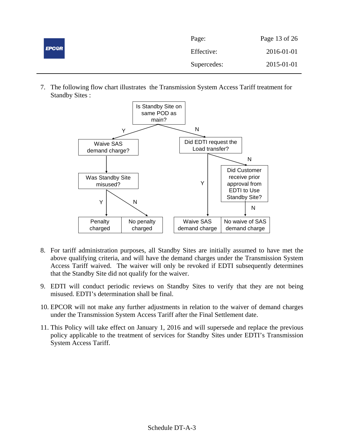| <b>EPCOR</b> | Page:       | Page 13 of 26 |
|--------------|-------------|---------------|
|              | Effective:  | 2016-01-01    |
|              | Supercedes: | 2015-01-01    |

7. The following flow chart illustrates the Transmission System Access Tariff treatment for Standby Sites :



- 8. For tariff administration purposes, all Standby Sites are initially assumed to have met the above qualifying criteria, and will have the demand charges under the Transmission System Access Tariff waived. The waiver will only be revoked if EDTI subsequently determines that the Standby Site did not qualify for the waiver.
- 9. EDTI will conduct periodic reviews on Standby Sites to verify that they are not being misused. EDTI's determination shall be final.
- 10. EPCOR will not make any further adjustments in relation to the waiver of demand charges under the Transmission System Access Tariff after the Final Settlement date.
- 11. This Policy will take effect on January 1, 2016 and will supersede and replace the previous policy applicable to the treatment of services for Standby Sites under EDTI's Transmission System Access Tariff.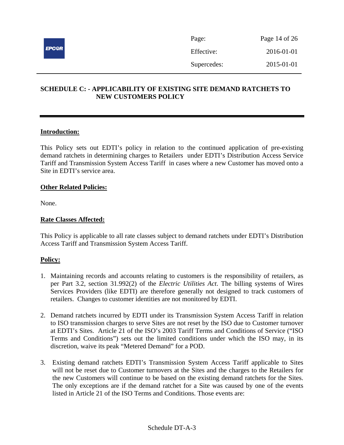

## **SCHEDULE C: - APPLICABILITY OF EXISTING SITE DEMAND RATCHETS TO NEW CUSTOMERS POLICY**

## **Introduction:**

This Policy sets out EDTI's policy in relation to the continued application of pre-existing demand ratchets in determining charges to Retailers under EDTI's Distribution Access Service Tariff and Transmission System Access Tariff in cases where a new Customer has moved onto a Site in EDTI's service area.

#### **Other Related Policies:**

None.

#### **Rate Classes Affected:**

This Policy is applicable to all rate classes subject to demand ratchets under EDTI's Distribution Access Tariff and Transmission System Access Tariff.

- 1. Maintaining records and accounts relating to customers is the responsibility of retailers, as per Part 3.2, section 31.992(2) of the *Electric Utilities Act*. The billing systems of Wires Services Providers (like EDTI) are therefore generally not designed to track customers of retailers. Changes to customer identities are not monitored by EDTI.
- 2. Demand ratchets incurred by EDTI under its Transmission System Access Tariff in relation to ISO transmission charges to serve Sites are not reset by the ISO due to Customer turnover at EDTI's Sites. Article 21 of the ISO's 2003 Tariff Terms and Conditions of Service ("ISO Terms and Conditions") sets out the limited conditions under which the ISO may, in its discretion, waive its peak "Metered Demand" for a POD.
- 3. Existing demand ratchets EDTI's Transmission System Access Tariff applicable to Sites will not be reset due to Customer turnovers at the Sites and the charges to the Retailers for the new Customers will continue to be based on the existing demand ratchets for the Sites. The only exceptions are if the demand ratchet for a Site was caused by one of the events listed in Article 21 of the ISO Terms and Conditions. Those events are: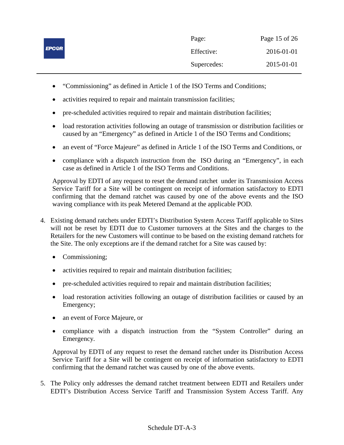|              | Page:       | Page 15 of 26 |
|--------------|-------------|---------------|
| <b>EPCOR</b> | Effective:  | 2016-01-01    |
|              | Supercedes: | 2015-01-01    |

- "Commissioning" as defined in Article 1 of the ISO Terms and Conditions;
- activities required to repair and maintain transmission facilities;
- pre-scheduled activities required to repair and maintain distribution facilities;
- load restoration activities following an outage of transmission or distribution facilities or caused by an "Emergency" as defined in Article 1 of the ISO Terms and Conditions;
- an event of "Force Majeure" as defined in Article 1 of the ISO Terms and Conditions, or
- compliance with a dispatch instruction from the ISO during an "Emergency", in each case as defined in Article 1 of the ISO Terms and Conditions.

Approval by EDTI of any request to reset the demand ratchet under its Transmission Access Service Tariff for a Site will be contingent on receipt of information satisfactory to EDTI confirming that the demand ratchet was caused by one of the above events and the ISO waving compliance with its peak Metered Demand at the applicable POD*.* 

- 4. Existing demand ratchets under EDTI's Distribution System Access Tariff applicable to Sites will not be reset by EDTI due to Customer turnovers at the Sites and the charges to the Retailers for the new Customers will continue to be based on the existing demand ratchets for the Site. The only exceptions are if the demand ratchet for a Site was caused by:
	- Commissioning;
	- activities required to repair and maintain distribution facilities;
	- pre-scheduled activities required to repair and maintain distribution facilities;
	- load restoration activities following an outage of distribution facilities or caused by an Emergency;
	- an event of Force Majeure, or
	- compliance with a dispatch instruction from the "System Controller" during an Emergency*.*

Approval by EDTI of any request to reset the demand ratchet under its Distribution Access Service Tariff for a Site will be contingent on receipt of information satisfactory to EDTI confirming that the demand ratchet was caused by one of the above events.

5. The Policy only addresses the demand ratchet treatment between EDTI and Retailers under EDTI's Distribution Access Service Tariff and Transmission System Access Tariff. Any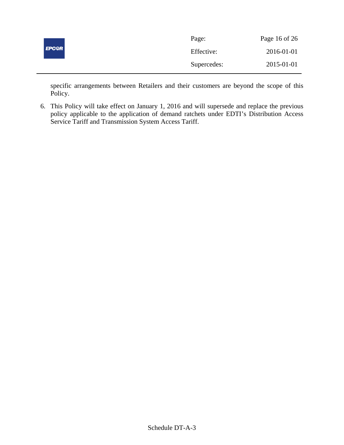|              | Page:       | Page 16 of 26 |
|--------------|-------------|---------------|
| <b>EPC@R</b> | Effective:  | 2016-01-01    |
|              | Supercedes: | 2015-01-01    |

specific arrangements between Retailers and their customers are beyond the scope of this Policy.

6. This Policy will take effect on January 1, 2016 and will supersede and replace the previous policy applicable to the application of demand ratchets under EDTI's Distribution Access Service Tariff and Transmission System Access Tariff.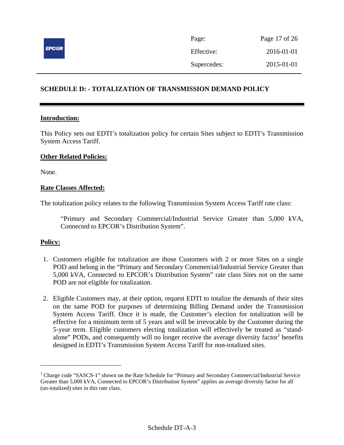

| Page:       | Page 17 of 26 |
|-------------|---------------|
| Effective:  | 2016-01-01    |
| Supercedes: | 2015-01-01    |

## **SCHEDULE D: - TOTALIZATION OF TRANSMISSION DEMAND POLICY**

#### **Introduction:**

This Policy sets out EDTI's totalization policy for certain Sites subject to EDTI's Transmission System Access Tariff.

#### **Other Related Policies:**

None.

#### **Rate Classes Affected:**

The totalization policy relates to the following Transmission System Access Tariff rate class:

"Primary and Secondary Commercial/Industrial Service Greater than 5,000 kVA, Connected to EPCOR's Distribution System".

## **Policy:**

<u>.</u>

- 1. Customers eligible for totalization are those Customers with 2 or more Sites on a single POD and belong in the "Primary and Secondary Commercial/Industrial Service Greater than 5,000 kVA, Connected to EPCOR's Distribution System" rate class Sites not on the same POD are not eligible for totalization.
- 2. Eligible Customers may, at their option, request EDTI to totalize the demands of their sites on the same POD for purposes of determining Billing Demand under the Transmission System Access Tariff. Once it is made, the Customer's election for totalization will be effective for a minimum term of 5 years and will be irrevocable by the Customer during the 5-year term. Eligible customers electing totalization will effectively be treated as "standalone" PODs, and consequently will no longer receive the average diversity factor $1$  benefits designed in EDTI's Transmission System Access Tariff for non-totalized sites.

<sup>&</sup>lt;sup>1</sup> Charge code "SASCS-1" shown on the Rate Schedule for "Primary and Secondary Commercial/Industrial Service Greater than 5,000 kVA, Connected to EPCOR's Distribution System" applies an average diversity factor for all (un-totalized) sites in this rate class.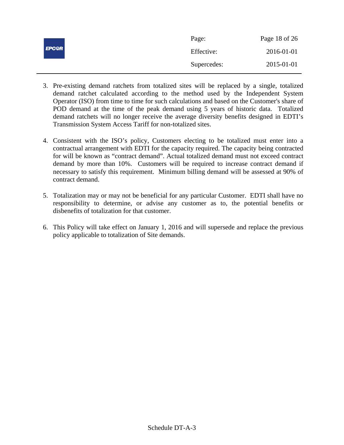|              | Page:       | Page 18 of 26 |
|--------------|-------------|---------------|
| <b>EPC@R</b> | Effective:  | 2016-01-01    |
|              | Supercedes: | 2015-01-01    |

- 3. Pre-existing demand ratchets from totalized sites will be replaced by a single, totalized demand ratchet calculated according to the method used by the Independent System Operator (ISO) from time to time for such calculations and based on the Customer's share of POD demand at the time of the peak demand using 5 years of historic data. Totalized demand ratchets will no longer receive the average diversity benefits designed in EDTI's Transmission System Access Tariff for non-totalized sites.
- 4. Consistent with the ISO's policy, Customers electing to be totalized must enter into a contractual arrangement with EDTI for the capacity required. The capacity being contracted for will be known as "contract demand". Actual totalized demand must not exceed contract demand by more than 10%. Customers will be required to increase contract demand if necessary to satisfy this requirement. Minimum billing demand will be assessed at 90% of contract demand.
- 5. Totalization may or may not be beneficial for any particular Customer. EDTI shall have no responsibility to determine, or advise any customer as to, the potential benefits or disbenefits of totalization for that customer.
- 6. This Policy will take effect on January 1, 2016 and will supersede and replace the previous policy applicable to totalization of Site demands.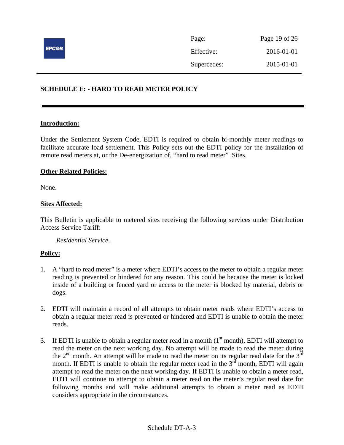

## **SCHEDULE E: - HARD TO READ METER POLICY**

#### **Introduction:**

Under the Settlement System Code, EDTI is required to obtain bi-monthly meter readings to facilitate accurate load settlement. This Policy sets out the EDTI policy for the installation of remote read meters at, or the De-energization of, "hard to read meter" Sites.

#### **Other Related Policies:**

None.

## **Sites Affected:**

This Bulletin is applicable to metered sites receiving the following services under Distribution Access Service Tariff:

*Residential Service*.

- 1. A "hard to read meter" is a meter where EDTI's access to the meter to obtain a regular meter reading is prevented or hindered for any reason. This could be because the meter is locked inside of a building or fenced yard or access to the meter is blocked by material, debris or dogs.
- 2. EDTI will maintain a record of all attempts to obtain meter reads where EDTI's access to obtain a regular meter read is prevented or hindered and EDTI is unable to obtain the meter reads.
- 3. If EDTI is unable to obtain a regular meter read in a month  $(1<sup>st</sup>$  month), EDTI will attempt to read the meter on the next working day. No attempt will be made to read the meter during the  $2<sup>nd</sup>$  month. An attempt will be made to read the meter on its regular read date for the  $3<sup>rd</sup>$ month. If EDTI is unable to obtain the regular meter read in the  $3<sup>rd</sup>$  month, EDTI will again attempt to read the meter on the next working day. If EDTI is unable to obtain a meter read, EDTI will continue to attempt to obtain a meter read on the meter's regular read date for following months and will make additional attempts to obtain a meter read as EDTI considers appropriate in the circumstances.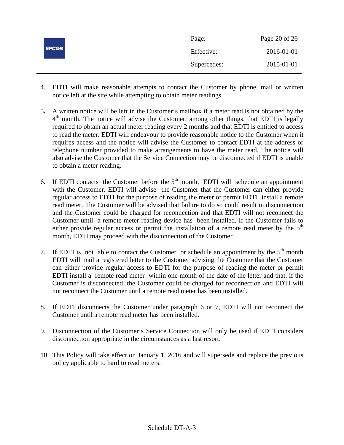| <b>EPC@R</b> | Page:       | Page 20 of 26 |
|--------------|-------------|---------------|
|              | Effective:  | 2016-01-01    |
|              | Supercedes: | 2015-01-01    |

- 4. EDTI will make reasonable attempts to contact the Customer by phone, mail or written notice left at the site while attempting to obtain meter readings.
- 5**.** A written notice will be left in the Customer's mailbox if a meter read is not obtained by the  $4<sup>th</sup>$  month. The notice will advise the Customer, among other things, that EDTI is legally required to obtain an actual meter reading every 2 months and that EDTI is entitled to access to read the meter. EDTI will endeavour to provide reasonable notice to the Customer when it requires access and the notice will advise the Customer to contact EDTI at the address or telephone number provided to make arrangements to have the meter read. The notice will also advise the Customer that the Service Connection may be disconnected if EDTI is unable to obtain a meter reading.
- 6. If EDTI contacts the Customer before the  $5<sup>th</sup>$  month, EDTI will schedule an appointment with the Customer. EDTI will advise the Customer that the Customer can either provide regular access to EDTI for the purpose of reading the meter or permit EDTI install a remote read meter. The Customer will be advised that failure to do so could result in disconnection and the Customer could be charged for reconnection and that EDTI will not reconnect the Customer until a remote meter reading device has been installed. If the Customer fails to either provide regular access or permit the installation of a remote read meter by the  $5<sup>th</sup>$ month, EDTI may proceed with the disconnection of the Customer.
- 7. If EDTI is not able to contact the Customer or schedule an appointment by the  $5<sup>th</sup>$  month EDTI will mail a registered letter to the Customer advising the Customer that the Customer can either provide regular access to EDTI for the purpose of reading the meter or permit EDTI install a remote read meter within one month of the date of the letter and that, if the Customer is disconnected, the Customer could be charged for reconnection and EDTI will not reconnect the Customer until a remote read meter has been installed.
- 8. If EDTI disconnects the Customer under paragraph 6 or 7, EDTI will not reconnect the Customer until a remote read meter has been installed.
- 9. Disconnection of the Customer's Service Connection will only be used if EDTI considers disconnection appropriate in the circumstances as a last resort.
- 10. This Policy will take effect on January 1, 2016 and will supersede and replace the previous policy applicable to hard to read meters.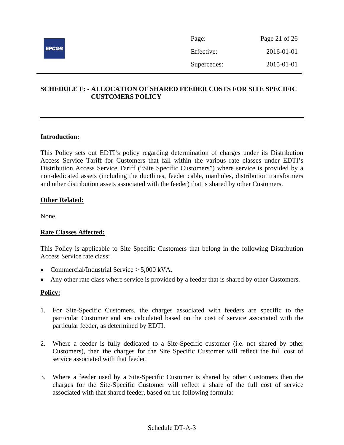

| Page:       | Page 21 of 26 |
|-------------|---------------|
| Effective:  | 2016-01-01    |
| Supercedes: | 2015-01-01    |

## **SCHEDULE F: - ALLOCATION OF SHARED FEEDER COSTS FOR SITE SPECIFIC CUSTOMERS POLICY**

## **Introduction:**

This Policy sets out EDTI's policy regarding determination of charges under its Distribution Access Service Tariff for Customers that fall within the various rate classes under EDTI's Distribution Access Service Tariff ("Site Specific Customers") where service is provided by a non-dedicated assets (including the ductlines, feeder cable, manholes, distribution transformers and other distribution assets associated with the feeder) that is shared by other Customers.

#### **Other Related:**

None.

## **Rate Classes Affected:**

This Policy is applicable to Site Specific Customers that belong in the following Distribution Access Service rate class:

- Commercial/Industrial Service  $> 5.000$  kVA.
- Any other rate class where service is provided by a feeder that is shared by other Customers.

- 1. For Site-Specific Customers, the charges associated with feeders are specific to the particular Customer and are calculated based on the cost of service associated with the particular feeder, as determined by EDTI.
- 2. Where a feeder is fully dedicated to a Site-Specific customer (i.e. not shared by other Customers), then the charges for the Site Specific Customer will reflect the full cost of service associated with that feeder.
- 3. Where a feeder used by a Site-Specific Customer is shared by other Customers then the charges for the Site-Specific Customer will reflect a share of the full cost of service associated with that shared feeder, based on the following formula: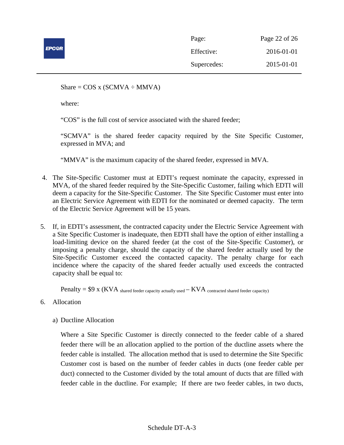

| Page:       | Page 22 of 26 |
|-------------|---------------|
| Effective:  | 2016-01-01    |
| Supercedes: | 2015-01-01    |

Share =  $COS x (SCMVA \div MMVA)$ 

where:

"COS" is the full cost of service associated with the shared feeder;

"SCMVA" is the shared feeder capacity required by the Site Specific Customer, expressed in MVA; and

"MMVA" is the maximum capacity of the shared feeder, expressed in MVA.

- 4. The Site-Specific Customer must at EDTI's request nominate the capacity, expressed in MVA, of the shared feeder required by the Site-Specific Customer, failing which EDTI will deem a capacity for the Site-Specific Customer. The Site Specific Customer must enter into an Electric Service Agreement with EDTI for the nominated or deemed capacity. The term of the Electric Service Agreement will be 15 years.
- 5. If, in EDTI's assessment, the contracted capacity under the Electric Service Agreement with a Site Specific Customer is inadequate, then EDTI shall have the option of either installing a load-limiting device on the shared feeder (at the cost of the Site-Specific Customer), or imposing a penalty charge, should the capacity of the shared feeder actually used by the Site-Specific Customer exceed the contacted capacity. The penalty charge for each incidence where the capacity of the shared feeder actually used exceeds the contracted capacity shall be equal to:

Penalty =  $$9 x (KVA)$  shared feeder capacity actually used  $-KVA$  contracted shared feeder capacity)

- 6. Allocation
	- a) Ductline Allocation

Where a Site Specific Customer is directly connected to the feeder cable of a shared feeder there will be an allocation applied to the portion of the ductline assets where the feeder cable is installed. The allocation method that is used to determine the Site Specific Customer cost is based on the number of feeder cables in ducts (one feeder cable per duct) connected to the Customer divided by the total amount of ducts that are filled with feeder cable in the ductline. For example; If there are two feeder cables, in two ducts,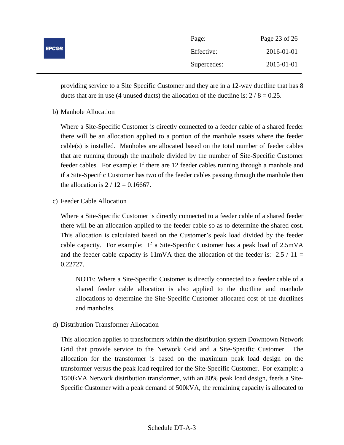| <b>EPC@R</b> | Page:       | Page 23 of 26 |
|--------------|-------------|---------------|
|              | Effective:  | 2016-01-01    |
|              | Supercedes: | 2015-01-01    |

providing service to a Site Specific Customer and they are in a 12-way ductline that has 8 ducts that are in use (4 unused ducts) the allocation of the ductline is:  $2 / 8 = 0.25$ .

b) Manhole Allocation

Where a Site-Specific Customer is directly connected to a feeder cable of a shared feeder there will be an allocation applied to a portion of the manhole assets where the feeder cable(s) is installed. Manholes are allocated based on the total number of feeder cables that are running through the manhole divided by the number of Site-Specific Customer feeder cables. For example: If there are 12 feeder cables running through a manhole and if a Site-Specific Customer has two of the feeder cables passing through the manhole then the allocation is  $2 / 12 = 0.16667$ .

c) Feeder Cable Allocation

Where a Site-Specific Customer is directly connected to a feeder cable of a shared feeder there will be an allocation applied to the feeder cable so as to determine the shared cost. This allocation is calculated based on the Customer's peak load divided by the feeder cable capacity. For example; If a Site-Specific Customer has a peak load of 2.5mVA and the feeder cable capacity is  $11mVA$  then the allocation of the feeder is: 2.5 / 11 = 0.22727.

NOTE: Where a Site-Specific Customer is directly connected to a feeder cable of a shared feeder cable allocation is also applied to the ductline and manhole allocations to determine the Site-Specific Customer allocated cost of the ductlines and manholes.

d) Distribution Transformer Allocation

This allocation applies to transformers within the distribution system Downtown Network Grid that provide service to the Network Grid and a Site-Specific Customer. The allocation for the transformer is based on the maximum peak load design on the transformer versus the peak load required for the Site-Specific Customer. For example: a 1500kVA Network distribution transformer, with an 80% peak load design, feeds a Site-Specific Customer with a peak demand of 500kVA, the remaining capacity is allocated to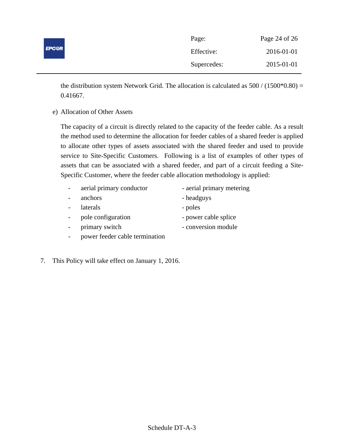|              | Page:       | Page 24 of 26 |
|--------------|-------------|---------------|
| <b>EPC@R</b> | Effective:  | 2016-01-01    |
|              | Supercedes: | 2015-01-01    |

the distribution system Network Grid. The allocation is calculated as  $500 / (1500*0.80) =$ 0.41667.

e) Allocation of Other Assets

The capacity of a circuit is directly related to the capacity of the feeder cable. As a result the method used to determine the allocation for feeder cables of a shared feeder is applied to allocate other types of assets associated with the shared feeder and used to provide service to Site-Specific Customers. Following is a list of examples of other types of assets that can be associated with a shared feeder, and part of a circuit feeding a Site-Specific Customer, where the feeder cable allocation methodology is applied:

- aerial primary conductor aerial primary metering
- anchors headguys
- 
- laterals poles
	-
- pole configuration power cable splice
- primary switch conversion module
- power feeder cable termination
- 7. This Policy will take effect on January 1, 2016.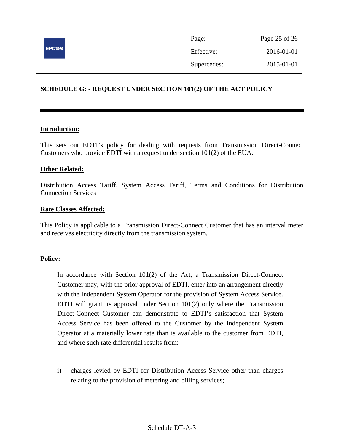

Page: Page 25 of 26 Effective: 2016-01-01 Supercedes: 2015-01-01

## **SCHEDULE G: - REQUEST UNDER SECTION 101(2) OF THE ACT POLICY**

#### **Introduction:**

This sets out EDTI's policy for dealing with requests from Transmission Direct-Connect Customers who provide EDTI with a request under section 101(2) of the EUA.

## **Other Related:**

Distribution Access Tariff, System Access Tariff, Terms and Conditions for Distribution Connection Services

#### **Rate Classes Affected:**

This Policy is applicable to a Transmission Direct-Connect Customer that has an interval meter and receives electricity directly from the transmission system.

#### **Policy:**

In accordance with Section 101(2) of the Act, a Transmission Direct-Connect Customer may, with the prior approval of EDTI, enter into an arrangement directly with the Independent System Operator for the provision of System Access Service. EDTI will grant its approval under Section  $101(2)$  only where the Transmission Direct-Connect Customer can demonstrate to EDTI's satisfaction that System Access Service has been offered to the Customer by the Independent System Operator at a materially lower rate than is available to the customer from EDTI, and where such rate differential results from:

i) charges levied by EDTI for Distribution Access Service other than charges relating to the provision of metering and billing services;